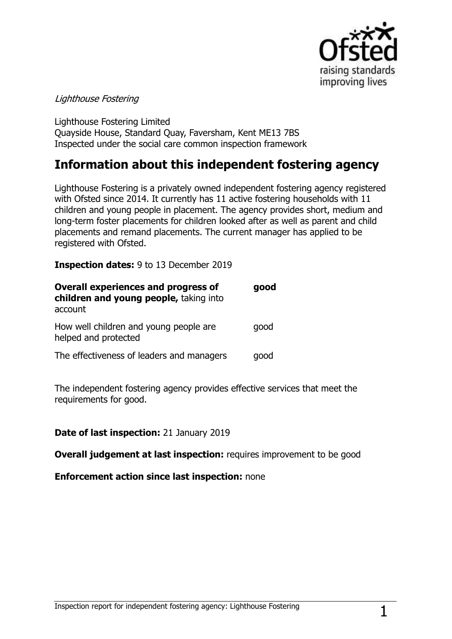

### Lighthouse Fostering

Lighthouse Fostering Limited Quayside House, Standard Quay, Faversham, Kent ME13 7BS Inspected under the social care common inspection framework

# **Information about this independent fostering agency**

Lighthouse Fostering is a privately owned independent fostering agency registered with Ofsted since 2014. It currently has 11 active fostering households with 11 children and young people in placement. The agency provides short, medium and long-term foster placements for children looked after as well as parent and child placements and remand placements. The current manager has applied to be registered with Ofsted.

**Inspection dates:** 9 to 13 December 2019

| <b>Overall experiences and progress of</b><br>children and young people, taking into<br>account | good |
|-------------------------------------------------------------------------------------------------|------|
| How well children and young people are<br>helped and protected                                  | good |
| The effectiveness of leaders and managers                                                       | qood |

The independent fostering agency provides effective services that meet the requirements for good.

### **Date of last inspection:** 21 January 2019

**Overall judgement at last inspection:** requires improvement to be good

**Enforcement action since last inspection:** none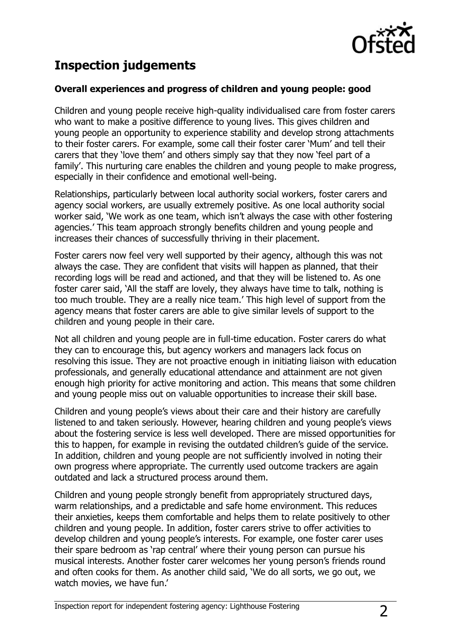

# **Inspection judgements**

### **Overall experiences and progress of children and young people: good**

Children and young people receive high-quality individualised care from foster carers who want to make a positive difference to young lives. This gives children and young people an opportunity to experience stability and develop strong attachments to their foster carers. For example, some call their foster carer "Mum" and tell their carers that they "love them" and others simply say that they now "feel part of a family". This nurturing care enables the children and young people to make progress, especially in their confidence and emotional well-being.

Relationships, particularly between local authority social workers, foster carers and agency social workers, are usually extremely positive. As one local authority social worker said, 'We work as one team, which isn't always the case with other fostering agencies." This team approach strongly benefits children and young people and increases their chances of successfully thriving in their placement.

Foster carers now feel very well supported by their agency, although this was not always the case. They are confident that visits will happen as planned, that their recording logs will be read and actioned, and that they will be listened to. As one foster carer said, "All the staff are lovely, they always have time to talk, nothing is too much trouble. They are a really nice team." This high level of support from the agency means that foster carers are able to give similar levels of support to the children and young people in their care.

Not all children and young people are in full-time education. Foster carers do what they can to encourage this, but agency workers and managers lack focus on resolving this issue. They are not proactive enough in initiating liaison with education professionals, and generally educational attendance and attainment are not given enough high priority for active monitoring and action. This means that some children and young people miss out on valuable opportunities to increase their skill base.

Children and young people"s views about their care and their history are carefully listened to and taken seriously. However, hearing children and young people"s views about the fostering service is less well developed. There are missed opportunities for this to happen, for example in revising the outdated children"s guide of the service. In addition, children and young people are not sufficiently involved in noting their own progress where appropriate. The currently used outcome trackers are again outdated and lack a structured process around them.

Children and young people strongly benefit from appropriately structured days, warm relationships, and a predictable and safe home environment. This reduces their anxieties, keeps them comfortable and helps them to relate positively to other children and young people. In addition, foster carers strive to offer activities to develop children and young people"s interests. For example, one foster carer uses their spare bedroom as 'rap central' where their young person can pursue his musical interests. Another foster carer welcomes her young person"s friends round and often cooks for them. As another child said, "We do all sorts, we go out, we watch movies, we have fun.'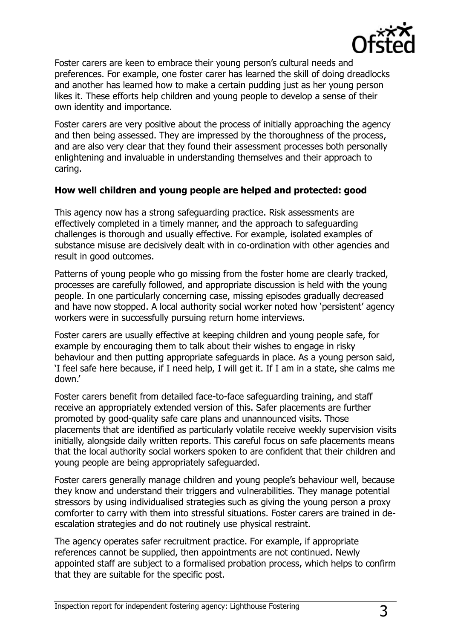

Foster carers are keen to embrace their young person's cultural needs and preferences. For example, one foster carer has learned the skill of doing dreadlocks and another has learned how to make a certain pudding just as her young person likes it. These efforts help children and young people to develop a sense of their own identity and importance.

Foster carers are very positive about the process of initially approaching the agency and then being assessed. They are impressed by the thoroughness of the process, and are also very clear that they found their assessment processes both personally enlightening and invaluable in understanding themselves and their approach to caring.

### **How well children and young people are helped and protected: good**

This agency now has a strong safeguarding practice. Risk assessments are effectively completed in a timely manner, and the approach to safeguarding challenges is thorough and usually effective. For example, isolated examples of substance misuse are decisively dealt with in co-ordination with other agencies and result in good outcomes.

Patterns of young people who go missing from the foster home are clearly tracked, processes are carefully followed, and appropriate discussion is held with the young people. In one particularly concerning case, missing episodes gradually decreased and have now stopped. A local authority social worker noted how 'persistent' agency workers were in successfully pursuing return home interviews.

Foster carers are usually effective at keeping children and young people safe, for example by encouraging them to talk about their wishes to engage in risky behaviour and then putting appropriate safeguards in place. As a young person said, "I feel safe here because, if I need help, I will get it. If I am in a state, she calms me down.'

Foster carers benefit from detailed face-to-face safeguarding training, and staff receive an appropriately extended version of this. Safer placements are further promoted by good-quality safe care plans and unannounced visits. Those placements that are identified as particularly volatile receive weekly supervision visits initially, alongside daily written reports. This careful focus on safe placements means that the local authority social workers spoken to are confident that their children and young people are being appropriately safeguarded.

Foster carers generally manage children and young people's behaviour well, because they know and understand their triggers and vulnerabilities. They manage potential stressors by using individualised strategies such as giving the young person a proxy comforter to carry with them into stressful situations. Foster carers are trained in deescalation strategies and do not routinely use physical restraint.

The agency operates safer recruitment practice. For example, if appropriate references cannot be supplied, then appointments are not continued. Newly appointed staff are subject to a formalised probation process, which helps to confirm that they are suitable for the specific post.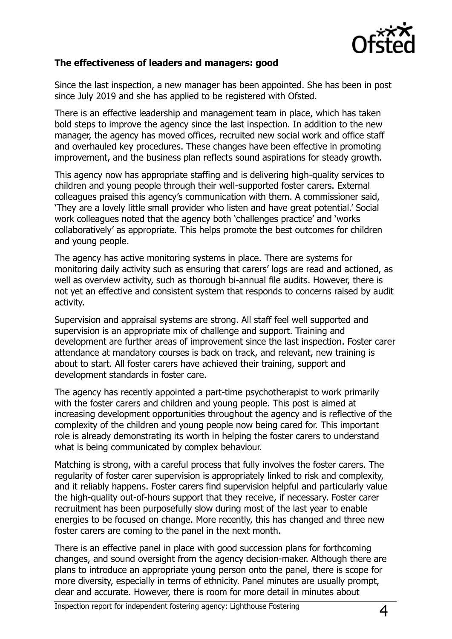

### **The effectiveness of leaders and managers: good**

Since the last inspection, a new manager has been appointed. She has been in post since July 2019 and she has applied to be registered with Ofsted.

There is an effective leadership and management team in place, which has taken bold steps to improve the agency since the last inspection. In addition to the new manager, the agency has moved offices, recruited new social work and office staff and overhauled key procedures. These changes have been effective in promoting improvement, and the business plan reflects sound aspirations for steady growth.

This agency now has appropriate staffing and is delivering high-quality services to children and young people through their well-supported foster carers. External colleagues praised this agency"s communication with them. A commissioner said, "They are a lovely little small provider who listen and have great potential." Social work colleagues noted that the agency both 'challenges practice' and 'works collaboratively" as appropriate. This helps promote the best outcomes for children and young people.

The agency has active monitoring systems in place. There are systems for monitoring daily activity such as ensuring that carers" logs are read and actioned, as well as overview activity, such as thorough bi-annual file audits. However, there is not yet an effective and consistent system that responds to concerns raised by audit activity.

Supervision and appraisal systems are strong. All staff feel well supported and supervision is an appropriate mix of challenge and support. Training and development are further areas of improvement since the last inspection. Foster carer attendance at mandatory courses is back on track, and relevant, new training is about to start. All foster carers have achieved their training, support and development standards in foster care.

The agency has recently appointed a part-time psychotherapist to work primarily with the foster carers and children and young people. This post is aimed at increasing development opportunities throughout the agency and is reflective of the complexity of the children and young people now being cared for. This important role is already demonstrating its worth in helping the foster carers to understand what is being communicated by complex behaviour.

Matching is strong, with a careful process that fully involves the foster carers. The regularity of foster carer supervision is appropriately linked to risk and complexity, and it reliably happens. Foster carers find supervision helpful and particularly value the high-quality out-of-hours support that they receive, if necessary. Foster carer recruitment has been purposefully slow during most of the last year to enable energies to be focused on change. More recently, this has changed and three new foster carers are coming to the panel in the next month.

There is an effective panel in place with good succession plans for forthcoming changes, and sound oversight from the agency decision-maker. Although there are plans to introduce an appropriate young person onto the panel, there is scope for more diversity, especially in terms of ethnicity. Panel minutes are usually prompt, clear and accurate. However, there is room for more detail in minutes about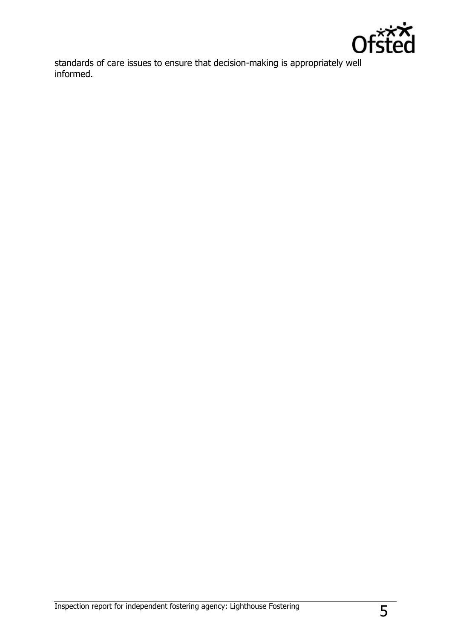

standards of care issues to ensure that decision-making is appropriately well informed.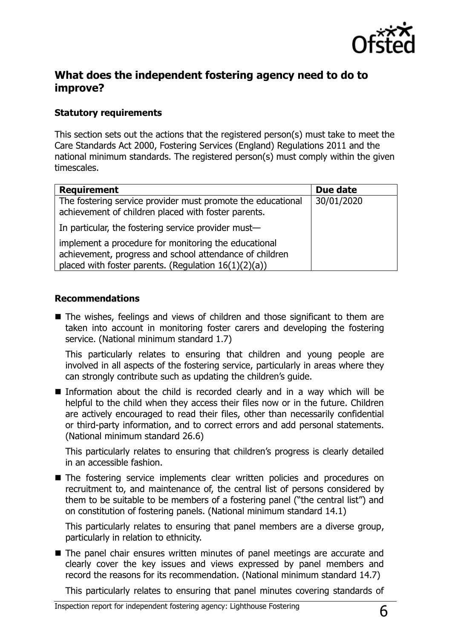

### **What does the independent fostering agency need to do to improve?**

### **Statutory requirements**

This section sets out the actions that the registered person(s) must take to meet the Care Standards Act 2000, Fostering Services (England) Regulations 2011 and the national minimum standards. The registered person(s) must comply within the given timescales.

| <b>Requirement</b>                                                                                                                                                         | Due date   |
|----------------------------------------------------------------------------------------------------------------------------------------------------------------------------|------------|
| The fostering service provider must promote the educational<br>achievement of children placed with foster parents.                                                         | 30/01/2020 |
| In particular, the fostering service provider must-                                                                                                                        |            |
| implement a procedure for monitoring the educational<br>achievement, progress and school attendance of children<br>placed with foster parents. (Regulation $16(1)(2)(a)$ ) |            |

#### **Recommendations**

■ The wishes, feelings and views of children and those significant to them are taken into account in monitoring foster carers and developing the fostering service. (National minimum standard 1.7)

This particularly relates to ensuring that children and young people are involved in all aspects of the fostering service, particularly in areas where they can strongly contribute such as updating the children's guide.

Information about the child is recorded clearly and in a way which will be helpful to the child when they access their files now or in the future. Children are actively encouraged to read their files, other than necessarily confidential or third-party information, and to correct errors and add personal statements. (National minimum standard 26.6)

This particularly relates to ensuring that children"s progress is clearly detailed in an accessible fashion.

The fostering service implements clear written policies and procedures on recruitment to, and maintenance of, the central list of persons considered by them to be suitable to be members of a fostering panel ("the central list") and on constitution of fostering panels. (National minimum standard 14.1)

This particularly relates to ensuring that panel members are a diverse group, particularly in relation to ethnicity.

■ The panel chair ensures written minutes of panel meetings are accurate and clearly cover the key issues and views expressed by panel members and record the reasons for its recommendation. (National minimum standard 14.7)

This particularly relates to ensuring that panel minutes covering standards of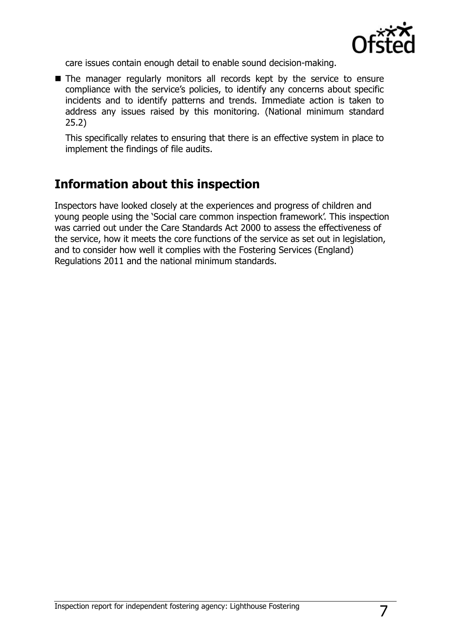

care issues contain enough detail to enable sound decision-making.

■ The manager regularly monitors all records kept by the service to ensure compliance with the service's policies, to identify any concerns about specific incidents and to identify patterns and trends. Immediate action is taken to address any issues raised by this monitoring. (National minimum standard 25.2)

This specifically relates to ensuring that there is an effective system in place to implement the findings of file audits.

# **Information about this inspection**

Inspectors have looked closely at the experiences and progress of children and young people using the 'Social care common inspection framework'. This inspection was carried out under the Care Standards Act 2000 to assess the effectiveness of the service, how it meets the core functions of the service as set out in legislation, and to consider how well it complies with the Fostering Services (England) Regulations 2011 and the national minimum standards.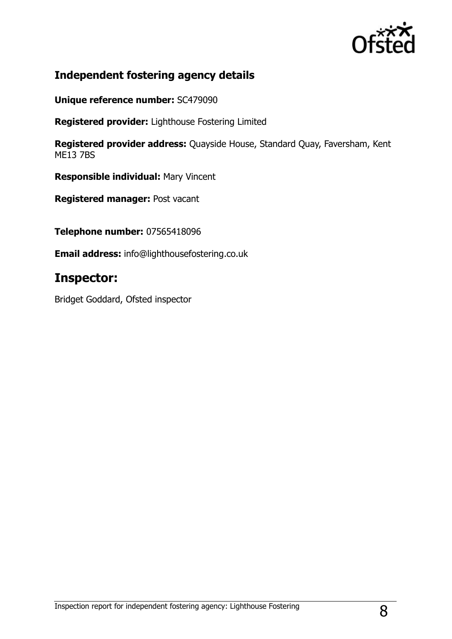

### **Independent fostering agency details**

**Unique reference number:** SC479090

**Registered provider:** Lighthouse Fostering Limited

**Registered provider address:** Quayside House, Standard Quay, Faversham, Kent ME13 7BS

**Responsible individual:** Mary Vincent

**Registered manager:** Post vacant

**Telephone number:** 07565418096

**Email address:** info@lighthousefostering.co.uk

## **Inspector:**

Bridget Goddard, Ofsted inspector